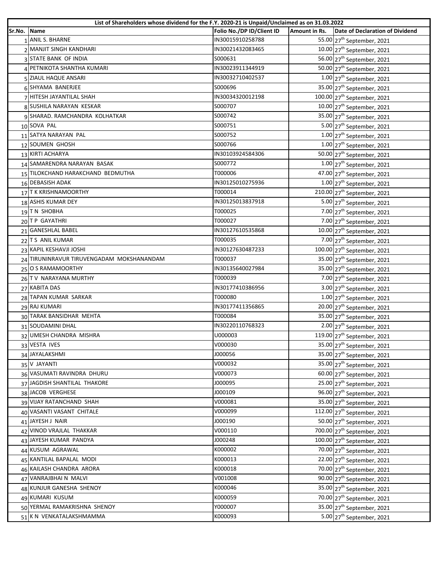| Sr.No. Name<br>1 ANIL S. BHARNE<br>IN30015910258788<br>55.00 27 <sup>th</sup> September, 2021<br>IN30021432083465<br>$10.00$ 27 <sup>th</sup> September, 2021<br>2 MANJIT SINGH KANDHARI<br>3 STATE BANK OF INDIA<br>S000631<br>56.00 27 <sup>th</sup> September, 2021<br>IN30023911344919<br>50.00 27 <sup>th</sup> September, 2021<br>4 PETNIKOTA SHANTHA KUMARI<br>5 ZIAUL HAQUE ANSARI<br>IN30032710402537<br>$1.00$ 27 <sup>th</sup> September, 2021<br>35.00 27 <sup>th</sup> September, 2021<br>6 SHYAMA BANERJEE<br>S000696<br>7 HITESH JAYANTILAL SHAH<br>IN30034320012198<br>100.00 27 <sup>th</sup> September, 2021<br>8 SUSHILA NARAYAN KESKAR<br>$10.00$ 27 <sup>th</sup> September, 2021<br>S000707<br>9 SHARAD. RAMCHANDRA KOLHATKAR<br>S000742<br>35.00 27 <sup>th</sup> September, 2021<br>10 SOVA PAL<br>S000751<br>5.00 27 <sup>th</sup> September, 2021<br>11 SATYA NARAYAN PAL<br>S000752<br>$1.00$ 27 <sup>th</sup> September, 2021<br>12 SOUMEN GHOSH<br>S000766<br>$1.00$ 27 <sup>th</sup> September, 2021<br>13 KIRTI ACHARYA<br>IN30103924584306<br>50.00 27 <sup>th</sup> September, 2021<br>14 SAMARENDRA NARAYAN BASAK<br>S000772<br>$1.00$ 27 <sup>th</sup> September, 2021<br>47.00 27 <sup>th</sup> September, 2021<br>15 TILOKCHAND HARAKCHAND BEDMUTHA<br>T000006<br>16 DEBASISH ADAK<br>IN30125010275936<br>$1.00$ 27 <sup>th</sup> September, 2021<br>T000014<br>210.00 27 <sup>th</sup> September, 2021<br>17 T K KRISHNAMOORTHY<br>18 ASHIS KUMAR DEY<br>IN30125013837918<br>5.00 $27^{th}$ September, 2021<br>T000025<br>19 TN SHOBHA<br>$7.00$ 27 <sup>th</sup> September, 2021<br>20 TP GAYATHRI<br>T000027<br>7.00 27 <sup>th</sup> September, 2021<br>21 GANESHLAL BABEL<br>IN30127610535868<br>$10.00$ 27 <sup>th</sup> September, 2021<br>22 T S ANIL KUMAR<br>T000035<br>7.00 27 <sup>th</sup> September, 2021<br>100.00 27 <sup>th</sup> September, 2021<br>23 KAPIL KESHAVJI JOSHI<br>IN30127630487233<br>24 TIRUNINRAVUR TIRUVENGADAM MOKSHANANDAM<br>35.00 27 <sup>th</sup> September, 2021<br>T000037<br>IN30135640027984<br>35.00 27 <sup>th</sup> September, 2021<br>25 O S RAMAMOORTHY<br>26 TV NARAYANA MURTHY<br>$7.00$ 27 <sup>th</sup> September, 2021<br>T000039<br>27 KABITA DAS<br>3.00 27 <sup>th</sup> September, 2021<br>IN30177410386956<br>28 TAPAN KUMAR SARKAR<br>T000080<br>$1.00$ 27 <sup>th</sup> September, 2021<br>29 RAJ KUMARI<br>IN30177411356865<br>20.00 $27th$ September, 2021<br>30 TARAK BANSIDHAR MEHTA<br>T000084<br>35.00 27 <sup>th</sup> September, 2021<br>31 SOUDAMINI DHAL<br>IN30220110768323<br>$2.00$ 27 <sup>th</sup> September, 2021<br>119.00 27 <sup>th</sup> September, 2021<br>32 UMESH CHANDRA MISHRA<br>U000003<br>V000030<br>33 VESTA IVES<br>35.00 27 <sup>th</sup> September, 2021<br>J000056<br>35.00 27 <sup>th</sup> September, 2021<br>34 JAYALAKSHMI<br>35 V JAYANTI<br>V000032<br>35.00 27 <sup>th</sup> September, 2021<br>36 VASUMATI RAVINDRA DHURU<br>V000073<br>60.00 27 <sup>th</sup> September, 2021<br>37 JAGDISH SHANTILAL THAKORE<br>J000095<br>25.00 27 <sup>th</sup> September, 2021<br>96.00 27 <sup>th</sup> September, 2021<br>J000109<br>38 JACOB VERGHESE<br>39 VIJAY RATANCHAND SHAH<br>V000081<br>35.00 27 <sup>th</sup> September, 2021<br>112.00 27 <sup>th</sup> September, 2021<br>V000099<br>40 VASANTI VASANT CHITALE<br>41 JAYESH J NAIR<br>J000190<br>50.00 27 <sup>th</sup> September, 2021<br>700.00 27 <sup>th</sup> September, 2021<br>V000110<br>42 VINOD VRAJLAL THAKKAR<br>43 JAYESH KUMAR PANDYA<br>J000248<br>100.00 27 <sup>th</sup> September, 2021<br>44 KUSUM AGRAWAL<br>K000002<br>70.00 27 <sup>th</sup> September, 2021<br>45 KANTILAL BAPALAL MODI<br>K000013<br>22.00 27 <sup>th</sup> September, 2021<br>46 KAILASH CHANDRA ARORA<br>K000018<br>70.00 27 <sup>th</sup> September, 2021<br>90.00 27 <sup>th</sup> September, 2021<br>47 VANRAJBHAI N MALVI<br>V001008<br>48 KUNJUR GANESHA SHENOY<br>K000046<br>35.00 27 <sup>th</sup> September, 2021<br>70.00 27 <sup>th</sup> September, 2021<br>49 KUMARI KUSUM<br>K000059<br>50 YERMAL RAMAKRISHNA SHENOY<br>Y000007<br>35.00 27 <sup>th</sup> September, 2021 | List of Shareholders whose dividend for the F.Y. 2020-21 is Unpaid/Unclaimed as on 31.03.2022 |                           |               |                                 |  |  |
|-------------------------------------------------------------------------------------------------------------------------------------------------------------------------------------------------------------------------------------------------------------------------------------------------------------------------------------------------------------------------------------------------------------------------------------------------------------------------------------------------------------------------------------------------------------------------------------------------------------------------------------------------------------------------------------------------------------------------------------------------------------------------------------------------------------------------------------------------------------------------------------------------------------------------------------------------------------------------------------------------------------------------------------------------------------------------------------------------------------------------------------------------------------------------------------------------------------------------------------------------------------------------------------------------------------------------------------------------------------------------------------------------------------------------------------------------------------------------------------------------------------------------------------------------------------------------------------------------------------------------------------------------------------------------------------------------------------------------------------------------------------------------------------------------------------------------------------------------------------------------------------------------------------------------------------------------------------------------------------------------------------------------------------------------------------------------------------------------------------------------------------------------------------------------------------------------------------------------------------------------------------------------------------------------------------------------------------------------------------------------------------------------------------------------------------------------------------------------------------------------------------------------------------------------------------------------------------------------------------------------------------------------------------------------------------------------------------------------------------------------------------------------------------------------------------------------------------------------------------------------------------------------------------------------------------------------------------------------------------------------------------------------------------------------------------------------------------------------------------------------------------------------------------------------------------------------------------------------------------------------------------------------------------------------------------------------------------------------------------------------------------------------------------------------------------------------------------------------------------------------------------------------------------------------------------------------------------------------------------------------------------------------------------------------------------------------------------------------------------------------------------------------------------------------------------------------------------------------------------------------------------------------------------------------------------------------------------------------------------------------------------------------------------------------------------------------------------------------------------------------------------------------------------------------------|-----------------------------------------------------------------------------------------------|---------------------------|---------------|---------------------------------|--|--|
|                                                                                                                                                                                                                                                                                                                                                                                                                                                                                                                                                                                                                                                                                                                                                                                                                                                                                                                                                                                                                                                                                                                                                                                                                                                                                                                                                                                                                                                                                                                                                                                                                                                                                                                                                                                                                                                                                                                                                                                                                                                                                                                                                                                                                                                                                                                                                                                                                                                                                                                                                                                                                                                                                                                                                                                                                                                                                                                                                                                                                                                                                                                                                                                                                                                                                                                                                                                                                                                                                                                                                                                                                                                                                                                                                                                                                                                                                                                                                                                                                                                                                                                                                                               |                                                                                               | Folio No./DP ID/Client ID | Amount in Rs. | Date of Declaration of Dividend |  |  |
|                                                                                                                                                                                                                                                                                                                                                                                                                                                                                                                                                                                                                                                                                                                                                                                                                                                                                                                                                                                                                                                                                                                                                                                                                                                                                                                                                                                                                                                                                                                                                                                                                                                                                                                                                                                                                                                                                                                                                                                                                                                                                                                                                                                                                                                                                                                                                                                                                                                                                                                                                                                                                                                                                                                                                                                                                                                                                                                                                                                                                                                                                                                                                                                                                                                                                                                                                                                                                                                                                                                                                                                                                                                                                                                                                                                                                                                                                                                                                                                                                                                                                                                                                                               |                                                                                               |                           |               |                                 |  |  |
|                                                                                                                                                                                                                                                                                                                                                                                                                                                                                                                                                                                                                                                                                                                                                                                                                                                                                                                                                                                                                                                                                                                                                                                                                                                                                                                                                                                                                                                                                                                                                                                                                                                                                                                                                                                                                                                                                                                                                                                                                                                                                                                                                                                                                                                                                                                                                                                                                                                                                                                                                                                                                                                                                                                                                                                                                                                                                                                                                                                                                                                                                                                                                                                                                                                                                                                                                                                                                                                                                                                                                                                                                                                                                                                                                                                                                                                                                                                                                                                                                                                                                                                                                                               |                                                                                               |                           |               |                                 |  |  |
|                                                                                                                                                                                                                                                                                                                                                                                                                                                                                                                                                                                                                                                                                                                                                                                                                                                                                                                                                                                                                                                                                                                                                                                                                                                                                                                                                                                                                                                                                                                                                                                                                                                                                                                                                                                                                                                                                                                                                                                                                                                                                                                                                                                                                                                                                                                                                                                                                                                                                                                                                                                                                                                                                                                                                                                                                                                                                                                                                                                                                                                                                                                                                                                                                                                                                                                                                                                                                                                                                                                                                                                                                                                                                                                                                                                                                                                                                                                                                                                                                                                                                                                                                                               |                                                                                               |                           |               |                                 |  |  |
|                                                                                                                                                                                                                                                                                                                                                                                                                                                                                                                                                                                                                                                                                                                                                                                                                                                                                                                                                                                                                                                                                                                                                                                                                                                                                                                                                                                                                                                                                                                                                                                                                                                                                                                                                                                                                                                                                                                                                                                                                                                                                                                                                                                                                                                                                                                                                                                                                                                                                                                                                                                                                                                                                                                                                                                                                                                                                                                                                                                                                                                                                                                                                                                                                                                                                                                                                                                                                                                                                                                                                                                                                                                                                                                                                                                                                                                                                                                                                                                                                                                                                                                                                                               |                                                                                               |                           |               |                                 |  |  |
|                                                                                                                                                                                                                                                                                                                                                                                                                                                                                                                                                                                                                                                                                                                                                                                                                                                                                                                                                                                                                                                                                                                                                                                                                                                                                                                                                                                                                                                                                                                                                                                                                                                                                                                                                                                                                                                                                                                                                                                                                                                                                                                                                                                                                                                                                                                                                                                                                                                                                                                                                                                                                                                                                                                                                                                                                                                                                                                                                                                                                                                                                                                                                                                                                                                                                                                                                                                                                                                                                                                                                                                                                                                                                                                                                                                                                                                                                                                                                                                                                                                                                                                                                                               |                                                                                               |                           |               |                                 |  |  |
|                                                                                                                                                                                                                                                                                                                                                                                                                                                                                                                                                                                                                                                                                                                                                                                                                                                                                                                                                                                                                                                                                                                                                                                                                                                                                                                                                                                                                                                                                                                                                                                                                                                                                                                                                                                                                                                                                                                                                                                                                                                                                                                                                                                                                                                                                                                                                                                                                                                                                                                                                                                                                                                                                                                                                                                                                                                                                                                                                                                                                                                                                                                                                                                                                                                                                                                                                                                                                                                                                                                                                                                                                                                                                                                                                                                                                                                                                                                                                                                                                                                                                                                                                                               |                                                                                               |                           |               |                                 |  |  |
|                                                                                                                                                                                                                                                                                                                                                                                                                                                                                                                                                                                                                                                                                                                                                                                                                                                                                                                                                                                                                                                                                                                                                                                                                                                                                                                                                                                                                                                                                                                                                                                                                                                                                                                                                                                                                                                                                                                                                                                                                                                                                                                                                                                                                                                                                                                                                                                                                                                                                                                                                                                                                                                                                                                                                                                                                                                                                                                                                                                                                                                                                                                                                                                                                                                                                                                                                                                                                                                                                                                                                                                                                                                                                                                                                                                                                                                                                                                                                                                                                                                                                                                                                                               |                                                                                               |                           |               |                                 |  |  |
|                                                                                                                                                                                                                                                                                                                                                                                                                                                                                                                                                                                                                                                                                                                                                                                                                                                                                                                                                                                                                                                                                                                                                                                                                                                                                                                                                                                                                                                                                                                                                                                                                                                                                                                                                                                                                                                                                                                                                                                                                                                                                                                                                                                                                                                                                                                                                                                                                                                                                                                                                                                                                                                                                                                                                                                                                                                                                                                                                                                                                                                                                                                                                                                                                                                                                                                                                                                                                                                                                                                                                                                                                                                                                                                                                                                                                                                                                                                                                                                                                                                                                                                                                                               |                                                                                               |                           |               |                                 |  |  |
|                                                                                                                                                                                                                                                                                                                                                                                                                                                                                                                                                                                                                                                                                                                                                                                                                                                                                                                                                                                                                                                                                                                                                                                                                                                                                                                                                                                                                                                                                                                                                                                                                                                                                                                                                                                                                                                                                                                                                                                                                                                                                                                                                                                                                                                                                                                                                                                                                                                                                                                                                                                                                                                                                                                                                                                                                                                                                                                                                                                                                                                                                                                                                                                                                                                                                                                                                                                                                                                                                                                                                                                                                                                                                                                                                                                                                                                                                                                                                                                                                                                                                                                                                                               |                                                                                               |                           |               |                                 |  |  |
|                                                                                                                                                                                                                                                                                                                                                                                                                                                                                                                                                                                                                                                                                                                                                                                                                                                                                                                                                                                                                                                                                                                                                                                                                                                                                                                                                                                                                                                                                                                                                                                                                                                                                                                                                                                                                                                                                                                                                                                                                                                                                                                                                                                                                                                                                                                                                                                                                                                                                                                                                                                                                                                                                                                                                                                                                                                                                                                                                                                                                                                                                                                                                                                                                                                                                                                                                                                                                                                                                                                                                                                                                                                                                                                                                                                                                                                                                                                                                                                                                                                                                                                                                                               |                                                                                               |                           |               |                                 |  |  |
|                                                                                                                                                                                                                                                                                                                                                                                                                                                                                                                                                                                                                                                                                                                                                                                                                                                                                                                                                                                                                                                                                                                                                                                                                                                                                                                                                                                                                                                                                                                                                                                                                                                                                                                                                                                                                                                                                                                                                                                                                                                                                                                                                                                                                                                                                                                                                                                                                                                                                                                                                                                                                                                                                                                                                                                                                                                                                                                                                                                                                                                                                                                                                                                                                                                                                                                                                                                                                                                                                                                                                                                                                                                                                                                                                                                                                                                                                                                                                                                                                                                                                                                                                                               |                                                                                               |                           |               |                                 |  |  |
|                                                                                                                                                                                                                                                                                                                                                                                                                                                                                                                                                                                                                                                                                                                                                                                                                                                                                                                                                                                                                                                                                                                                                                                                                                                                                                                                                                                                                                                                                                                                                                                                                                                                                                                                                                                                                                                                                                                                                                                                                                                                                                                                                                                                                                                                                                                                                                                                                                                                                                                                                                                                                                                                                                                                                                                                                                                                                                                                                                                                                                                                                                                                                                                                                                                                                                                                                                                                                                                                                                                                                                                                                                                                                                                                                                                                                                                                                                                                                                                                                                                                                                                                                                               |                                                                                               |                           |               |                                 |  |  |
|                                                                                                                                                                                                                                                                                                                                                                                                                                                                                                                                                                                                                                                                                                                                                                                                                                                                                                                                                                                                                                                                                                                                                                                                                                                                                                                                                                                                                                                                                                                                                                                                                                                                                                                                                                                                                                                                                                                                                                                                                                                                                                                                                                                                                                                                                                                                                                                                                                                                                                                                                                                                                                                                                                                                                                                                                                                                                                                                                                                                                                                                                                                                                                                                                                                                                                                                                                                                                                                                                                                                                                                                                                                                                                                                                                                                                                                                                                                                                                                                                                                                                                                                                                               |                                                                                               |                           |               |                                 |  |  |
|                                                                                                                                                                                                                                                                                                                                                                                                                                                                                                                                                                                                                                                                                                                                                                                                                                                                                                                                                                                                                                                                                                                                                                                                                                                                                                                                                                                                                                                                                                                                                                                                                                                                                                                                                                                                                                                                                                                                                                                                                                                                                                                                                                                                                                                                                                                                                                                                                                                                                                                                                                                                                                                                                                                                                                                                                                                                                                                                                                                                                                                                                                                                                                                                                                                                                                                                                                                                                                                                                                                                                                                                                                                                                                                                                                                                                                                                                                                                                                                                                                                                                                                                                                               |                                                                                               |                           |               |                                 |  |  |
|                                                                                                                                                                                                                                                                                                                                                                                                                                                                                                                                                                                                                                                                                                                                                                                                                                                                                                                                                                                                                                                                                                                                                                                                                                                                                                                                                                                                                                                                                                                                                                                                                                                                                                                                                                                                                                                                                                                                                                                                                                                                                                                                                                                                                                                                                                                                                                                                                                                                                                                                                                                                                                                                                                                                                                                                                                                                                                                                                                                                                                                                                                                                                                                                                                                                                                                                                                                                                                                                                                                                                                                                                                                                                                                                                                                                                                                                                                                                                                                                                                                                                                                                                                               |                                                                                               |                           |               |                                 |  |  |
|                                                                                                                                                                                                                                                                                                                                                                                                                                                                                                                                                                                                                                                                                                                                                                                                                                                                                                                                                                                                                                                                                                                                                                                                                                                                                                                                                                                                                                                                                                                                                                                                                                                                                                                                                                                                                                                                                                                                                                                                                                                                                                                                                                                                                                                                                                                                                                                                                                                                                                                                                                                                                                                                                                                                                                                                                                                                                                                                                                                                                                                                                                                                                                                                                                                                                                                                                                                                                                                                                                                                                                                                                                                                                                                                                                                                                                                                                                                                                                                                                                                                                                                                                                               |                                                                                               |                           |               |                                 |  |  |
|                                                                                                                                                                                                                                                                                                                                                                                                                                                                                                                                                                                                                                                                                                                                                                                                                                                                                                                                                                                                                                                                                                                                                                                                                                                                                                                                                                                                                                                                                                                                                                                                                                                                                                                                                                                                                                                                                                                                                                                                                                                                                                                                                                                                                                                                                                                                                                                                                                                                                                                                                                                                                                                                                                                                                                                                                                                                                                                                                                                                                                                                                                                                                                                                                                                                                                                                                                                                                                                                                                                                                                                                                                                                                                                                                                                                                                                                                                                                                                                                                                                                                                                                                                               |                                                                                               |                           |               |                                 |  |  |
|                                                                                                                                                                                                                                                                                                                                                                                                                                                                                                                                                                                                                                                                                                                                                                                                                                                                                                                                                                                                                                                                                                                                                                                                                                                                                                                                                                                                                                                                                                                                                                                                                                                                                                                                                                                                                                                                                                                                                                                                                                                                                                                                                                                                                                                                                                                                                                                                                                                                                                                                                                                                                                                                                                                                                                                                                                                                                                                                                                                                                                                                                                                                                                                                                                                                                                                                                                                                                                                                                                                                                                                                                                                                                                                                                                                                                                                                                                                                                                                                                                                                                                                                                                               |                                                                                               |                           |               |                                 |  |  |
|                                                                                                                                                                                                                                                                                                                                                                                                                                                                                                                                                                                                                                                                                                                                                                                                                                                                                                                                                                                                                                                                                                                                                                                                                                                                                                                                                                                                                                                                                                                                                                                                                                                                                                                                                                                                                                                                                                                                                                                                                                                                                                                                                                                                                                                                                                                                                                                                                                                                                                                                                                                                                                                                                                                                                                                                                                                                                                                                                                                                                                                                                                                                                                                                                                                                                                                                                                                                                                                                                                                                                                                                                                                                                                                                                                                                                                                                                                                                                                                                                                                                                                                                                                               |                                                                                               |                           |               |                                 |  |  |
|                                                                                                                                                                                                                                                                                                                                                                                                                                                                                                                                                                                                                                                                                                                                                                                                                                                                                                                                                                                                                                                                                                                                                                                                                                                                                                                                                                                                                                                                                                                                                                                                                                                                                                                                                                                                                                                                                                                                                                                                                                                                                                                                                                                                                                                                                                                                                                                                                                                                                                                                                                                                                                                                                                                                                                                                                                                                                                                                                                                                                                                                                                                                                                                                                                                                                                                                                                                                                                                                                                                                                                                                                                                                                                                                                                                                                                                                                                                                                                                                                                                                                                                                                                               |                                                                                               |                           |               |                                 |  |  |
|                                                                                                                                                                                                                                                                                                                                                                                                                                                                                                                                                                                                                                                                                                                                                                                                                                                                                                                                                                                                                                                                                                                                                                                                                                                                                                                                                                                                                                                                                                                                                                                                                                                                                                                                                                                                                                                                                                                                                                                                                                                                                                                                                                                                                                                                                                                                                                                                                                                                                                                                                                                                                                                                                                                                                                                                                                                                                                                                                                                                                                                                                                                                                                                                                                                                                                                                                                                                                                                                                                                                                                                                                                                                                                                                                                                                                                                                                                                                                                                                                                                                                                                                                                               |                                                                                               |                           |               |                                 |  |  |
|                                                                                                                                                                                                                                                                                                                                                                                                                                                                                                                                                                                                                                                                                                                                                                                                                                                                                                                                                                                                                                                                                                                                                                                                                                                                                                                                                                                                                                                                                                                                                                                                                                                                                                                                                                                                                                                                                                                                                                                                                                                                                                                                                                                                                                                                                                                                                                                                                                                                                                                                                                                                                                                                                                                                                                                                                                                                                                                                                                                                                                                                                                                                                                                                                                                                                                                                                                                                                                                                                                                                                                                                                                                                                                                                                                                                                                                                                                                                                                                                                                                                                                                                                                               |                                                                                               |                           |               |                                 |  |  |
|                                                                                                                                                                                                                                                                                                                                                                                                                                                                                                                                                                                                                                                                                                                                                                                                                                                                                                                                                                                                                                                                                                                                                                                                                                                                                                                                                                                                                                                                                                                                                                                                                                                                                                                                                                                                                                                                                                                                                                                                                                                                                                                                                                                                                                                                                                                                                                                                                                                                                                                                                                                                                                                                                                                                                                                                                                                                                                                                                                                                                                                                                                                                                                                                                                                                                                                                                                                                                                                                                                                                                                                                                                                                                                                                                                                                                                                                                                                                                                                                                                                                                                                                                                               |                                                                                               |                           |               |                                 |  |  |
|                                                                                                                                                                                                                                                                                                                                                                                                                                                                                                                                                                                                                                                                                                                                                                                                                                                                                                                                                                                                                                                                                                                                                                                                                                                                                                                                                                                                                                                                                                                                                                                                                                                                                                                                                                                                                                                                                                                                                                                                                                                                                                                                                                                                                                                                                                                                                                                                                                                                                                                                                                                                                                                                                                                                                                                                                                                                                                                                                                                                                                                                                                                                                                                                                                                                                                                                                                                                                                                                                                                                                                                                                                                                                                                                                                                                                                                                                                                                                                                                                                                                                                                                                                               |                                                                                               |                           |               |                                 |  |  |
|                                                                                                                                                                                                                                                                                                                                                                                                                                                                                                                                                                                                                                                                                                                                                                                                                                                                                                                                                                                                                                                                                                                                                                                                                                                                                                                                                                                                                                                                                                                                                                                                                                                                                                                                                                                                                                                                                                                                                                                                                                                                                                                                                                                                                                                                                                                                                                                                                                                                                                                                                                                                                                                                                                                                                                                                                                                                                                                                                                                                                                                                                                                                                                                                                                                                                                                                                                                                                                                                                                                                                                                                                                                                                                                                                                                                                                                                                                                                                                                                                                                                                                                                                                               |                                                                                               |                           |               |                                 |  |  |
|                                                                                                                                                                                                                                                                                                                                                                                                                                                                                                                                                                                                                                                                                                                                                                                                                                                                                                                                                                                                                                                                                                                                                                                                                                                                                                                                                                                                                                                                                                                                                                                                                                                                                                                                                                                                                                                                                                                                                                                                                                                                                                                                                                                                                                                                                                                                                                                                                                                                                                                                                                                                                                                                                                                                                                                                                                                                                                                                                                                                                                                                                                                                                                                                                                                                                                                                                                                                                                                                                                                                                                                                                                                                                                                                                                                                                                                                                                                                                                                                                                                                                                                                                                               |                                                                                               |                           |               |                                 |  |  |
|                                                                                                                                                                                                                                                                                                                                                                                                                                                                                                                                                                                                                                                                                                                                                                                                                                                                                                                                                                                                                                                                                                                                                                                                                                                                                                                                                                                                                                                                                                                                                                                                                                                                                                                                                                                                                                                                                                                                                                                                                                                                                                                                                                                                                                                                                                                                                                                                                                                                                                                                                                                                                                                                                                                                                                                                                                                                                                                                                                                                                                                                                                                                                                                                                                                                                                                                                                                                                                                                                                                                                                                                                                                                                                                                                                                                                                                                                                                                                                                                                                                                                                                                                                               |                                                                                               |                           |               |                                 |  |  |
|                                                                                                                                                                                                                                                                                                                                                                                                                                                                                                                                                                                                                                                                                                                                                                                                                                                                                                                                                                                                                                                                                                                                                                                                                                                                                                                                                                                                                                                                                                                                                                                                                                                                                                                                                                                                                                                                                                                                                                                                                                                                                                                                                                                                                                                                                                                                                                                                                                                                                                                                                                                                                                                                                                                                                                                                                                                                                                                                                                                                                                                                                                                                                                                                                                                                                                                                                                                                                                                                                                                                                                                                                                                                                                                                                                                                                                                                                                                                                                                                                                                                                                                                                                               |                                                                                               |                           |               |                                 |  |  |
|                                                                                                                                                                                                                                                                                                                                                                                                                                                                                                                                                                                                                                                                                                                                                                                                                                                                                                                                                                                                                                                                                                                                                                                                                                                                                                                                                                                                                                                                                                                                                                                                                                                                                                                                                                                                                                                                                                                                                                                                                                                                                                                                                                                                                                                                                                                                                                                                                                                                                                                                                                                                                                                                                                                                                                                                                                                                                                                                                                                                                                                                                                                                                                                                                                                                                                                                                                                                                                                                                                                                                                                                                                                                                                                                                                                                                                                                                                                                                                                                                                                                                                                                                                               |                                                                                               |                           |               |                                 |  |  |
|                                                                                                                                                                                                                                                                                                                                                                                                                                                                                                                                                                                                                                                                                                                                                                                                                                                                                                                                                                                                                                                                                                                                                                                                                                                                                                                                                                                                                                                                                                                                                                                                                                                                                                                                                                                                                                                                                                                                                                                                                                                                                                                                                                                                                                                                                                                                                                                                                                                                                                                                                                                                                                                                                                                                                                                                                                                                                                                                                                                                                                                                                                                                                                                                                                                                                                                                                                                                                                                                                                                                                                                                                                                                                                                                                                                                                                                                                                                                                                                                                                                                                                                                                                               |                                                                                               |                           |               |                                 |  |  |
|                                                                                                                                                                                                                                                                                                                                                                                                                                                                                                                                                                                                                                                                                                                                                                                                                                                                                                                                                                                                                                                                                                                                                                                                                                                                                                                                                                                                                                                                                                                                                                                                                                                                                                                                                                                                                                                                                                                                                                                                                                                                                                                                                                                                                                                                                                                                                                                                                                                                                                                                                                                                                                                                                                                                                                                                                                                                                                                                                                                                                                                                                                                                                                                                                                                                                                                                                                                                                                                                                                                                                                                                                                                                                                                                                                                                                                                                                                                                                                                                                                                                                                                                                                               |                                                                                               |                           |               |                                 |  |  |
|                                                                                                                                                                                                                                                                                                                                                                                                                                                                                                                                                                                                                                                                                                                                                                                                                                                                                                                                                                                                                                                                                                                                                                                                                                                                                                                                                                                                                                                                                                                                                                                                                                                                                                                                                                                                                                                                                                                                                                                                                                                                                                                                                                                                                                                                                                                                                                                                                                                                                                                                                                                                                                                                                                                                                                                                                                                                                                                                                                                                                                                                                                                                                                                                                                                                                                                                                                                                                                                                                                                                                                                                                                                                                                                                                                                                                                                                                                                                                                                                                                                                                                                                                                               |                                                                                               |                           |               |                                 |  |  |
|                                                                                                                                                                                                                                                                                                                                                                                                                                                                                                                                                                                                                                                                                                                                                                                                                                                                                                                                                                                                                                                                                                                                                                                                                                                                                                                                                                                                                                                                                                                                                                                                                                                                                                                                                                                                                                                                                                                                                                                                                                                                                                                                                                                                                                                                                                                                                                                                                                                                                                                                                                                                                                                                                                                                                                                                                                                                                                                                                                                                                                                                                                                                                                                                                                                                                                                                                                                                                                                                                                                                                                                                                                                                                                                                                                                                                                                                                                                                                                                                                                                                                                                                                                               |                                                                                               |                           |               |                                 |  |  |
|                                                                                                                                                                                                                                                                                                                                                                                                                                                                                                                                                                                                                                                                                                                                                                                                                                                                                                                                                                                                                                                                                                                                                                                                                                                                                                                                                                                                                                                                                                                                                                                                                                                                                                                                                                                                                                                                                                                                                                                                                                                                                                                                                                                                                                                                                                                                                                                                                                                                                                                                                                                                                                                                                                                                                                                                                                                                                                                                                                                                                                                                                                                                                                                                                                                                                                                                                                                                                                                                                                                                                                                                                                                                                                                                                                                                                                                                                                                                                                                                                                                                                                                                                                               |                                                                                               |                           |               |                                 |  |  |
|                                                                                                                                                                                                                                                                                                                                                                                                                                                                                                                                                                                                                                                                                                                                                                                                                                                                                                                                                                                                                                                                                                                                                                                                                                                                                                                                                                                                                                                                                                                                                                                                                                                                                                                                                                                                                                                                                                                                                                                                                                                                                                                                                                                                                                                                                                                                                                                                                                                                                                                                                                                                                                                                                                                                                                                                                                                                                                                                                                                                                                                                                                                                                                                                                                                                                                                                                                                                                                                                                                                                                                                                                                                                                                                                                                                                                                                                                                                                                                                                                                                                                                                                                                               |                                                                                               |                           |               |                                 |  |  |
|                                                                                                                                                                                                                                                                                                                                                                                                                                                                                                                                                                                                                                                                                                                                                                                                                                                                                                                                                                                                                                                                                                                                                                                                                                                                                                                                                                                                                                                                                                                                                                                                                                                                                                                                                                                                                                                                                                                                                                                                                                                                                                                                                                                                                                                                                                                                                                                                                                                                                                                                                                                                                                                                                                                                                                                                                                                                                                                                                                                                                                                                                                                                                                                                                                                                                                                                                                                                                                                                                                                                                                                                                                                                                                                                                                                                                                                                                                                                                                                                                                                                                                                                                                               |                                                                                               |                           |               |                                 |  |  |
|                                                                                                                                                                                                                                                                                                                                                                                                                                                                                                                                                                                                                                                                                                                                                                                                                                                                                                                                                                                                                                                                                                                                                                                                                                                                                                                                                                                                                                                                                                                                                                                                                                                                                                                                                                                                                                                                                                                                                                                                                                                                                                                                                                                                                                                                                                                                                                                                                                                                                                                                                                                                                                                                                                                                                                                                                                                                                                                                                                                                                                                                                                                                                                                                                                                                                                                                                                                                                                                                                                                                                                                                                                                                                                                                                                                                                                                                                                                                                                                                                                                                                                                                                                               |                                                                                               |                           |               |                                 |  |  |
|                                                                                                                                                                                                                                                                                                                                                                                                                                                                                                                                                                                                                                                                                                                                                                                                                                                                                                                                                                                                                                                                                                                                                                                                                                                                                                                                                                                                                                                                                                                                                                                                                                                                                                                                                                                                                                                                                                                                                                                                                                                                                                                                                                                                                                                                                                                                                                                                                                                                                                                                                                                                                                                                                                                                                                                                                                                                                                                                                                                                                                                                                                                                                                                                                                                                                                                                                                                                                                                                                                                                                                                                                                                                                                                                                                                                                                                                                                                                                                                                                                                                                                                                                                               |                                                                                               |                           |               |                                 |  |  |
|                                                                                                                                                                                                                                                                                                                                                                                                                                                                                                                                                                                                                                                                                                                                                                                                                                                                                                                                                                                                                                                                                                                                                                                                                                                                                                                                                                                                                                                                                                                                                                                                                                                                                                                                                                                                                                                                                                                                                                                                                                                                                                                                                                                                                                                                                                                                                                                                                                                                                                                                                                                                                                                                                                                                                                                                                                                                                                                                                                                                                                                                                                                                                                                                                                                                                                                                                                                                                                                                                                                                                                                                                                                                                                                                                                                                                                                                                                                                                                                                                                                                                                                                                                               |                                                                                               |                           |               |                                 |  |  |
|                                                                                                                                                                                                                                                                                                                                                                                                                                                                                                                                                                                                                                                                                                                                                                                                                                                                                                                                                                                                                                                                                                                                                                                                                                                                                                                                                                                                                                                                                                                                                                                                                                                                                                                                                                                                                                                                                                                                                                                                                                                                                                                                                                                                                                                                                                                                                                                                                                                                                                                                                                                                                                                                                                                                                                                                                                                                                                                                                                                                                                                                                                                                                                                                                                                                                                                                                                                                                                                                                                                                                                                                                                                                                                                                                                                                                                                                                                                                                                                                                                                                                                                                                                               |                                                                                               |                           |               |                                 |  |  |
|                                                                                                                                                                                                                                                                                                                                                                                                                                                                                                                                                                                                                                                                                                                                                                                                                                                                                                                                                                                                                                                                                                                                                                                                                                                                                                                                                                                                                                                                                                                                                                                                                                                                                                                                                                                                                                                                                                                                                                                                                                                                                                                                                                                                                                                                                                                                                                                                                                                                                                                                                                                                                                                                                                                                                                                                                                                                                                                                                                                                                                                                                                                                                                                                                                                                                                                                                                                                                                                                                                                                                                                                                                                                                                                                                                                                                                                                                                                                                                                                                                                                                                                                                                               |                                                                                               |                           |               |                                 |  |  |
|                                                                                                                                                                                                                                                                                                                                                                                                                                                                                                                                                                                                                                                                                                                                                                                                                                                                                                                                                                                                                                                                                                                                                                                                                                                                                                                                                                                                                                                                                                                                                                                                                                                                                                                                                                                                                                                                                                                                                                                                                                                                                                                                                                                                                                                                                                                                                                                                                                                                                                                                                                                                                                                                                                                                                                                                                                                                                                                                                                                                                                                                                                                                                                                                                                                                                                                                                                                                                                                                                                                                                                                                                                                                                                                                                                                                                                                                                                                                                                                                                                                                                                                                                                               |                                                                                               |                           |               |                                 |  |  |
|                                                                                                                                                                                                                                                                                                                                                                                                                                                                                                                                                                                                                                                                                                                                                                                                                                                                                                                                                                                                                                                                                                                                                                                                                                                                                                                                                                                                                                                                                                                                                                                                                                                                                                                                                                                                                                                                                                                                                                                                                                                                                                                                                                                                                                                                                                                                                                                                                                                                                                                                                                                                                                                                                                                                                                                                                                                                                                                                                                                                                                                                                                                                                                                                                                                                                                                                                                                                                                                                                                                                                                                                                                                                                                                                                                                                                                                                                                                                                                                                                                                                                                                                                                               |                                                                                               |                           |               |                                 |  |  |
|                                                                                                                                                                                                                                                                                                                                                                                                                                                                                                                                                                                                                                                                                                                                                                                                                                                                                                                                                                                                                                                                                                                                                                                                                                                                                                                                                                                                                                                                                                                                                                                                                                                                                                                                                                                                                                                                                                                                                                                                                                                                                                                                                                                                                                                                                                                                                                                                                                                                                                                                                                                                                                                                                                                                                                                                                                                                                                                                                                                                                                                                                                                                                                                                                                                                                                                                                                                                                                                                                                                                                                                                                                                                                                                                                                                                                                                                                                                                                                                                                                                                                                                                                                               |                                                                                               |                           |               |                                 |  |  |
|                                                                                                                                                                                                                                                                                                                                                                                                                                                                                                                                                                                                                                                                                                                                                                                                                                                                                                                                                                                                                                                                                                                                                                                                                                                                                                                                                                                                                                                                                                                                                                                                                                                                                                                                                                                                                                                                                                                                                                                                                                                                                                                                                                                                                                                                                                                                                                                                                                                                                                                                                                                                                                                                                                                                                                                                                                                                                                                                                                                                                                                                                                                                                                                                                                                                                                                                                                                                                                                                                                                                                                                                                                                                                                                                                                                                                                                                                                                                                                                                                                                                                                                                                                               |                                                                                               |                           |               |                                 |  |  |
|                                                                                                                                                                                                                                                                                                                                                                                                                                                                                                                                                                                                                                                                                                                                                                                                                                                                                                                                                                                                                                                                                                                                                                                                                                                                                                                                                                                                                                                                                                                                                                                                                                                                                                                                                                                                                                                                                                                                                                                                                                                                                                                                                                                                                                                                                                                                                                                                                                                                                                                                                                                                                                                                                                                                                                                                                                                                                                                                                                                                                                                                                                                                                                                                                                                                                                                                                                                                                                                                                                                                                                                                                                                                                                                                                                                                                                                                                                                                                                                                                                                                                                                                                                               |                                                                                               |                           |               |                                 |  |  |
|                                                                                                                                                                                                                                                                                                                                                                                                                                                                                                                                                                                                                                                                                                                                                                                                                                                                                                                                                                                                                                                                                                                                                                                                                                                                                                                                                                                                                                                                                                                                                                                                                                                                                                                                                                                                                                                                                                                                                                                                                                                                                                                                                                                                                                                                                                                                                                                                                                                                                                                                                                                                                                                                                                                                                                                                                                                                                                                                                                                                                                                                                                                                                                                                                                                                                                                                                                                                                                                                                                                                                                                                                                                                                                                                                                                                                                                                                                                                                                                                                                                                                                                                                                               |                                                                                               |                           |               |                                 |  |  |
|                                                                                                                                                                                                                                                                                                                                                                                                                                                                                                                                                                                                                                                                                                                                                                                                                                                                                                                                                                                                                                                                                                                                                                                                                                                                                                                                                                                                                                                                                                                                                                                                                                                                                                                                                                                                                                                                                                                                                                                                                                                                                                                                                                                                                                                                                                                                                                                                                                                                                                                                                                                                                                                                                                                                                                                                                                                                                                                                                                                                                                                                                                                                                                                                                                                                                                                                                                                                                                                                                                                                                                                                                                                                                                                                                                                                                                                                                                                                                                                                                                                                                                                                                                               |                                                                                               |                           |               |                                 |  |  |
|                                                                                                                                                                                                                                                                                                                                                                                                                                                                                                                                                                                                                                                                                                                                                                                                                                                                                                                                                                                                                                                                                                                                                                                                                                                                                                                                                                                                                                                                                                                                                                                                                                                                                                                                                                                                                                                                                                                                                                                                                                                                                                                                                                                                                                                                                                                                                                                                                                                                                                                                                                                                                                                                                                                                                                                                                                                                                                                                                                                                                                                                                                                                                                                                                                                                                                                                                                                                                                                                                                                                                                                                                                                                                                                                                                                                                                                                                                                                                                                                                                                                                                                                                                               |                                                                                               |                           |               |                                 |  |  |
|                                                                                                                                                                                                                                                                                                                                                                                                                                                                                                                                                                                                                                                                                                                                                                                                                                                                                                                                                                                                                                                                                                                                                                                                                                                                                                                                                                                                                                                                                                                                                                                                                                                                                                                                                                                                                                                                                                                                                                                                                                                                                                                                                                                                                                                                                                                                                                                                                                                                                                                                                                                                                                                                                                                                                                                                                                                                                                                                                                                                                                                                                                                                                                                                                                                                                                                                                                                                                                                                                                                                                                                                                                                                                                                                                                                                                                                                                                                                                                                                                                                                                                                                                                               |                                                                                               |                           |               |                                 |  |  |
|                                                                                                                                                                                                                                                                                                                                                                                                                                                                                                                                                                                                                                                                                                                                                                                                                                                                                                                                                                                                                                                                                                                                                                                                                                                                                                                                                                                                                                                                                                                                                                                                                                                                                                                                                                                                                                                                                                                                                                                                                                                                                                                                                                                                                                                                                                                                                                                                                                                                                                                                                                                                                                                                                                                                                                                                                                                                                                                                                                                                                                                                                                                                                                                                                                                                                                                                                                                                                                                                                                                                                                                                                                                                                                                                                                                                                                                                                                                                                                                                                                                                                                                                                                               | 51 K N VENKATALAKSHMAMMA                                                                      | K000093                   |               | 5.00 $27th$ September, 2021     |  |  |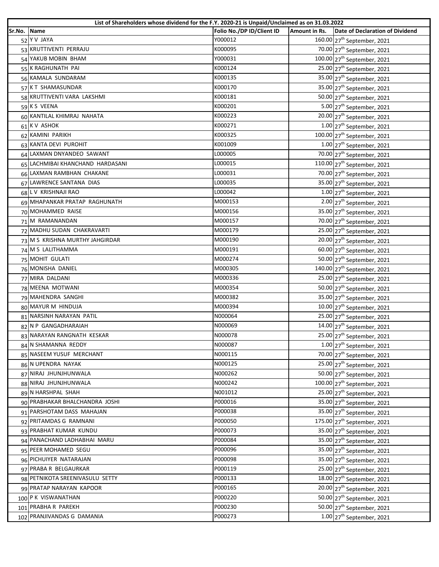|             |                                  | List of Shareholders whose dividend for the F.Y. 2020-21 is Unpaid/Unclaimed as on 31.03.2022 |               |                                          |
|-------------|----------------------------------|-----------------------------------------------------------------------------------------------|---------------|------------------------------------------|
| Sr.No. Name |                                  | Folio No./DP ID/Client ID                                                                     | Amount in Rs. | <b>Date of Declaration of Dividend</b>   |
|             | 52 Y V JAYA                      | Y000012                                                                                       |               | 160.00 27 <sup>th</sup> September, 2021  |
|             | 53 KRUTTIVENTI PERRAJU           | K000095                                                                                       |               | 70.00 27 <sup>th</sup> September, 2021   |
|             | 54 YAKUB MOBIN BHAM              | Y000031                                                                                       |               | 100.00 27 <sup>th</sup> September, 2021  |
|             | 55 K RAGHUNATH PAI               | K000124                                                                                       |               | 25.00 27 <sup>th</sup> September, 2021   |
|             | 56 KAMALA SUNDARAM               | K000135                                                                                       |               | 35.00 27 <sup>th</sup> September, 2021   |
|             | 57 KT SHAMASUNDAR                | K000170                                                                                       |               | 35.00 27 <sup>th</sup> September, 2021   |
|             | 58 KRUTTIVENTI VARA LAKSHMI      | K000181                                                                                       |               | 50.00 27 <sup>th</sup> September, 2021   |
|             | 59 KS VEENA                      | K000201                                                                                       |               | 5.00 27 <sup>th</sup> September, 2021    |
|             | 60 KANTILAL KHIMRAJ NAHATA       | K000223                                                                                       |               | 20.00 27 <sup>th</sup> September, 2021   |
|             | 61 KV ASHOK                      | K000271                                                                                       |               | $1.00$ 27 <sup>th</sup> September, 2021  |
|             | 62 KAMINI PARIKH                 | K000325                                                                                       |               | 100.00 27 <sup>th</sup> September, 2021  |
|             | 63 KANTA DEVI PUROHIT            | K001009                                                                                       |               | $1.00$ 27 <sup>th</sup> September, 2021  |
|             | 64 LAXMAN DNYANDEO SAWANT        | L000005                                                                                       |               | 70.00 27 <sup>th</sup> September, 2021   |
|             | 65 LACHMIBAI KHANCHAND HARDASANI | L000015                                                                                       |               | 110.00 27 <sup>th</sup> September, 2021  |
|             | 66 LAXMAN RAMBHAN CHAKANE        | L000031                                                                                       |               | 70.00 27 <sup>th</sup> September, 2021   |
|             | 67 LAWRENCE SANTANA DIAS         | L000035                                                                                       |               | 35.00 27 <sup>th</sup> September, 2021   |
|             | 68 L V KRISHNAJI RAO             | L000042                                                                                       |               | $1.00$ 27 <sup>th</sup> September, 2021  |
|             | 69 MHAPANKAR PRATAP RAGHUNATH    | M000153                                                                                       |               | $2.00$ 27 <sup>th</sup> September, 2021  |
|             | 70 MOHAMMED RAISE                | M000156                                                                                       |               | 35.00 27 <sup>th</sup> September, 2021   |
|             | 71 M RAMANANDAN                  | M000157                                                                                       |               | 70.00 27 <sup>th</sup> September, 2021   |
|             | 72 MADHU SUDAN CHAKRAVARTI       | M000179                                                                                       |               | $25.00$ $27th$ September, 2021           |
|             | 73 M S KRISHNA MURTHY JAHGIRDAR  | M000190                                                                                       |               | 20.00 $27th$ September, 2021             |
|             | 74 M S LALITHAMMA                | M000191                                                                                       |               | 60.00 27 <sup>th</sup> September, 2021   |
|             | 75 MOHIT GULATI                  | M000274                                                                                       |               | 50.00 27 <sup>th</sup> September, 2021   |
|             | 76 MONISHA DANIEL                | M000305                                                                                       |               | 140.00 27 <sup>th</sup> September, 2021  |
|             | 77 MIRA DALDANI                  | M000336                                                                                       |               | $25.00$ $27th$ September, 2021           |
|             | 78 MEENA MOTWANI                 | M000354                                                                                       |               | 50.00 27 <sup>th</sup> September, 2021   |
|             | 79 MAHENDRA SANGHI               | M000382                                                                                       |               | 35.00 27 <sup>th</sup> September, 2021   |
|             | 80 MAYUR M HINDUJA               | M000394                                                                                       |               | $10.00$ 27 <sup>th</sup> September, 2021 |
|             | 81 NARSINH NARAYAN PATIL         | N000064                                                                                       |               | $25.00$ $27th$ September, 2021           |
|             | 82 N P GANGADHARAIAH             | N000069                                                                                       |               | 14.00 $27th$ September, 2021             |
|             | 83 NARAYAN RANGNATH KESKAR       | N000078                                                                                       |               | $25.00$ $27^{th}$ September, 2021        |
|             | 84 N SHAMANNA REDDY              | N000087                                                                                       |               | $1.00$ 27 <sup>th</sup> September, 2021  |
|             | 85 NASEEM YUSUF MERCHANT         | N000115                                                                                       |               | 70.00 27 <sup>th</sup> September, 2021   |
|             | 86 N UPENDRA NAYAK               | N000125                                                                                       |               | 25.00 27 <sup>th</sup> September, 2021   |
|             | 87 NIRAJ JHUNJHUNWALA            | N000262                                                                                       |               | 50.00 27 <sup>th</sup> September, 2021   |
|             | 88 NIRAJ JHUNJHUNWALA            | N000242                                                                                       |               | 100.00 27 <sup>th</sup> September, 2021  |
|             | 89 N HARSHPAL SHAH               | N001012                                                                                       |               | 25.00 27 <sup>th</sup> September, 2021   |
|             | 90 PRABHAKAR BHALCHANDRA JOSHI   | P000016                                                                                       |               | 35.00 27 <sup>th</sup> September, 2021   |
|             | 91 PARSHOTAM DASS MAHAJAN        | P000038                                                                                       |               | 35.00 27 <sup>th</sup> September, 2021   |
|             | 92 PRITAMDAS G RAMNANI           | P000050                                                                                       |               | 175.00 27 <sup>th</sup> September, 2021  |
|             | 93 PRABHAT KUMAR KUNDU           | P000073                                                                                       |               | 35.00 27 <sup>th</sup> September, 2021   |
|             | 94 PANACHAND LADHABHAI MARU      | P000084                                                                                       |               | 35.00 27 <sup>th</sup> September, 2021   |
|             | 95 PEER MOHAMED SEGU             | P000096                                                                                       |               | 35.00 27 <sup>th</sup> September, 2021   |
|             | 96 PICHUIYER NATARAJAN           | P000098                                                                                       |               | 35.00 27 <sup>th</sup> September, 2021   |
|             | 97 PRABA R BELGAURKAR            | P000119                                                                                       |               | 25.00 27 <sup>th</sup> September, 2021   |
|             | 98 PETNIKOTA SREENIVASULU SETTY  | P000133                                                                                       |               | 18.00 27 <sup>th</sup> September, 2021   |
|             | 99 PRATAP NARAYAN KAPOOR         | P000165                                                                                       |               | 20.00 27 <sup>th</sup> September, 2021   |
|             | 100 P K VISWANATHAN              | P000220                                                                                       |               | 50.00 27 <sup>th</sup> September, 2021   |
|             | 101 PRABHA R PAREKH              | P000230                                                                                       |               | 50.00 27 <sup>th</sup> September, 2021   |
|             | 102 PRANJIVANDAS G DAMANIA       | P000273                                                                                       |               | $1.00$ 27 <sup>th</sup> September, 2021  |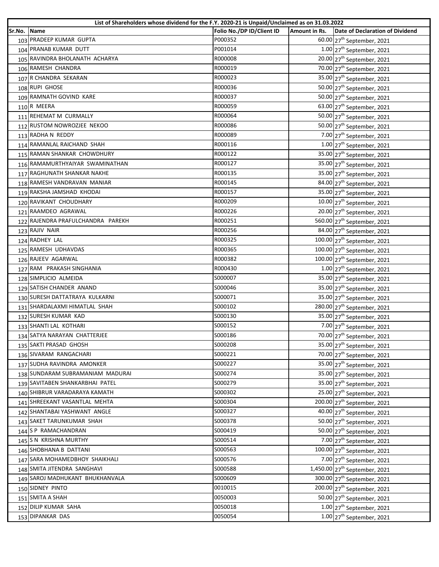|             | List of Shareholders whose dividend for the F.Y. 2020-21 is Unpaid/Unclaimed as on 31.03.2022 |                           |               |                                           |
|-------------|-----------------------------------------------------------------------------------------------|---------------------------|---------------|-------------------------------------------|
| Sr.No. Name |                                                                                               | Folio No./DP ID/Client ID | Amount in Rs. | Date of Declaration of Dividend           |
|             | 103 PRADEEP KUMAR GUPTA                                                                       | P000352                   |               | 60.00 27 <sup>th</sup> September, 2021    |
|             | 104 PRANAB KUMAR DUTT                                                                         | P001014                   |               | $1.00$ 27 <sup>th</sup> September, 2021   |
|             | 105 RAVINDRA BHOLANATH ACHARYA                                                                | R000008                   |               | 20.00 27 <sup>th</sup> September, 2021    |
|             | 106 RAMESH CHANDRA                                                                            | R000019                   |               | 70.00 27 <sup>th</sup> September, 2021    |
|             | 107 R CHANDRA SEKARAN                                                                         | R000023                   |               | 35.00 27 <sup>th</sup> September, 2021    |
|             | 108 RUPI GHOSE                                                                                | R000036                   |               | 50.00 27 <sup>th</sup> September, 2021    |
|             | 109 RAMNATH GOVIND KARE                                                                       | R000037                   |               | 50.00 27 <sup>th</sup> September, 2021    |
|             | 110 R MEERA                                                                                   | R000059                   |               | 63.00 27 <sup>th</sup> September, 2021    |
|             | 111 REHEMAT M CURMALLY                                                                        | R000064                   |               | 50.00 27 <sup>th</sup> September, 2021    |
|             | 112 RUSTOM NOWROZJEE NEKOO                                                                    | R000086                   |               | 50.00 27 <sup>th</sup> September, 2021    |
|             | 113 RADHA N REDDY                                                                             | R000089                   |               | 7.00 27 <sup>th</sup> September, 2021     |
|             | 114 RAMANLAL RAICHAND SHAH                                                                    | R000116                   |               | $1.00$ 27 <sup>th</sup> September, 2021   |
|             | 115 RAMAN SHANKAR CHOWDHURY                                                                   | R000122                   |               | 35.00 27 <sup>th</sup> September, 2021    |
|             | 116 RAMAMURTHYAIYAR SWAMINATHAN                                                               | R000127                   |               | 35.00 27 <sup>th</sup> September, 2021    |
|             | 117 RAGHUNATH SHANKAR NAKHE                                                                   | R000135                   |               | 35.00 27 <sup>th</sup> September, 2021    |
|             | 118 RAMESH VANDRAVAN MANIAR                                                                   | R000145                   |               | 84.00 27 <sup>th</sup> September, 2021    |
|             | 119 RAKSHA JAMSHAD KHODAI                                                                     | R000157                   |               | 35.00 27 <sup>th</sup> September, 2021    |
|             | 120 RAVIKANT CHOUDHARY                                                                        | R000209                   |               | 10.00 27 <sup>th</sup> September, 2021    |
|             | 121 RAAMDEO AGRAWAL                                                                           | R000226                   |               | 20.00 27 <sup>th</sup> September, 2021    |
|             | 122 RAJENDRA PRAFULCHANDRA PAREKH                                                             | R000251                   |               | 560.00 27 <sup>th</sup> September, 2021   |
|             | 123 RAJIV NAIR                                                                                | R000256                   |               | 84.00 27 <sup>th</sup> September, 2021    |
|             | 124 RADHEY LAL                                                                                | R000325                   |               | 100.00 27 <sup>th</sup> September, 2021   |
|             | 125 RAMESH UDHAVDAS                                                                           | R000365                   |               | 100.00 27 <sup>th</sup> September, 2021   |
|             | 126 RAJEEV AGARWAL                                                                            | R000382                   |               | 100.00 27 <sup>th</sup> September, 2021   |
|             | 127 RAM PRAKASH SINGHANIA                                                                     | R000430                   |               | $1.00$ 27 <sup>th</sup> September, 2021   |
|             | 128 SIMPLICIO ALMEIDA                                                                         | S000007                   |               | 35.00 27 <sup>th</sup> September, 2021    |
|             | 129 SATISH CHANDER ANAND                                                                      | S000046                   |               | 35.00 27 <sup>th</sup> September, 2021    |
|             | 130 SURESH DATTATRAYA KULKARNI                                                                | S000071                   |               | 35.00 27 <sup>th</sup> September, 2021    |
|             | 131 SHARDALAXMI HIMATLAL SHAH                                                                 | S000102                   |               | 280.00 27 <sup>th</sup> September, 2021   |
|             | 132 SURESH KUMAR KAD                                                                          | S000130                   |               | 35.00 27 <sup>th</sup> September, 2021    |
|             | 133 SHANTI LAL KOTHARI                                                                        | S000152                   |               | 7.00 27 <sup>th</sup> September, 2021     |
|             | 134 SATYA NARAYAN CHATTERJEE                                                                  | S000186                   |               | 70.00 27 <sup>th</sup> September, 2021    |
|             | 135 SAKTI PRASAD GHOSH                                                                        | S000208                   |               | 35.00 27 <sup>th</sup> September, 2021    |
|             | 136 SIVARAM RANGACHARI                                                                        | S000221                   |               | 70.00 27 <sup>th</sup> September, 2021    |
|             | 137 SUDHA RAVINDRA AMONKER                                                                    | S000227                   |               | 35.00 27 <sup>th</sup> September, 2021    |
|             | 138 SUNDARAM SUBRAMANIAM MADURAI                                                              | S000274                   |               | 35.00 27 <sup>th</sup> September, 2021    |
|             | 139 SAVITABEN SHANKARBHAI PATEL                                                               | S000279                   |               | 35.00 27 <sup>th</sup> September, 2021    |
|             | 140 SHIBRUR VARADARAYA KAMATH                                                                 | S000302                   |               | $25.00$ $27th$ September, 2021            |
|             | 141 SHREEKANT VASANTLAL MEHTA                                                                 | S000304                   |               | 200.00 27 <sup>th</sup> September, 2021   |
|             | 142 SHANTABAI YASHWANT ANGLE                                                                  | S000327                   |               | 40.00 27 <sup>th</sup> September, 2021    |
|             | 143 SAKET TARUNKUMAR SHAH                                                                     | S000378                   |               | 50.00 27 <sup>th</sup> September, 2021    |
|             | 144 S P RAMACHANDRAN                                                                          | S000419                   |               | 50.00 27 <sup>th</sup> September, 2021    |
|             | 145 S N KRISHNA MURTHY                                                                        | S000514                   |               | 7.00 27 <sup>th</sup> September, 2021     |
|             | 146 SHOBHANA B DATTANI                                                                        | S000563                   |               | 100.00 $27^{th}$ September, 2021          |
|             | 147 SARA MOHAMEDBHOY SHAIKHALI                                                                | S000576                   |               | 7.00 27 <sup>th</sup> September, 2021     |
|             | 148 SMITA JITENDRA SANGHAVI                                                                   | S000588                   |               | 1,450.00 27 <sup>th</sup> September, 2021 |
|             | 149 SAROJ MADHUKANT BHUKHANVALA                                                               | S000609                   |               |                                           |
|             | 150 SIDNEY PINTO                                                                              | 0010015                   |               | 300.00 27 <sup>th</sup> September, 2021   |
|             | 151 SMITA A SHAH                                                                              | 0050003                   |               | 200.00 27 <sup>th</sup> September, 2021   |
|             |                                                                                               |                           |               | 50.00 27 <sup>th</sup> September, 2021    |
|             | 152 DILIP KUMAR SAHA                                                                          | 0050018                   |               | $1.00$ 27 <sup>th</sup> September, 2021   |
|             | 153 DIPANKAR DAS                                                                              | 0050054                   |               | $1.00$ 27 <sup>th</sup> September, 2021   |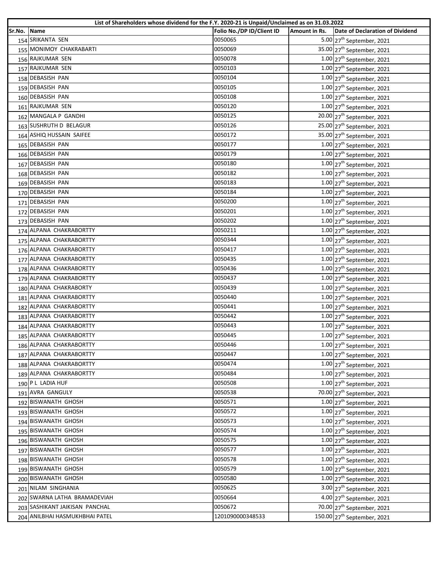|        | List of Shareholders whose dividend for the F.Y. 2020-21 is Unpaid/Unclaimed as on 31.03.2022 |                           |               |                                         |  |  |
|--------|-----------------------------------------------------------------------------------------------|---------------------------|---------------|-----------------------------------------|--|--|
| Sr.No. | <b>Name</b>                                                                                   | Folio No./DP ID/Client ID | Amount in Rs. | Date of Declaration of Dividend         |  |  |
|        | 154 SRIKANTA SEN                                                                              | 0050065<br>0050069        |               | 5.00 27 <sup>th</sup> September, 2021   |  |  |
|        | 155 MONIMOY CHAKRABARTI                                                                       |                           |               | 35.00 27 <sup>th</sup> September, 2021  |  |  |
|        | 156 RAJKUMAR SEN                                                                              | 0050078                   |               | $1.00$ 27 <sup>th</sup> September, 2021 |  |  |
|        | 157 RAJKUMAR SEN                                                                              | 0050103                   |               | $1.00$ 27 <sup>th</sup> September, 2021 |  |  |
|        | 158 DEBASISH PAN                                                                              | 0050104                   |               | $1.00$ 27 <sup>th</sup> September, 2021 |  |  |
|        | 159 DEBASISH PAN                                                                              | 0050105                   |               | $1.00$ $27th$ September, 2021           |  |  |
|        | 160 DEBASISH PAN                                                                              | 0050108                   |               | $1.00$ 27 <sup>th</sup> September, 2021 |  |  |
|        | 161 RAJKUMAR SEN                                                                              | 0050120                   |               | $1.00$ 27 <sup>th</sup> September, 2021 |  |  |
|        | 162 MANGALA P GANDHI                                                                          | 0050125                   |               | 20.00 27 <sup>th</sup> September, 2021  |  |  |
|        | 163 SUSHRUTH D BELAGUR                                                                        | 0050126                   |               | 25.00 27 <sup>th</sup> September, 2021  |  |  |
|        | 164 ASHIQ HUSSAIN SAIFEE                                                                      | 0050172                   |               | 35.00 27 <sup>th</sup> September, 2021  |  |  |
|        | 165 DEBASISH PAN                                                                              | 0050177                   |               | $1.00$ 27 <sup>th</sup> September, 2021 |  |  |
|        | 166 DEBASISH PAN                                                                              | 0050179                   |               | $1.00$ 27 <sup>th</sup> September, 2021 |  |  |
|        | 167 DEBASISH PAN                                                                              | 0050180                   |               | $1.00$ 27 <sup>th</sup> September, 2021 |  |  |
|        | 168 DEBASISH PAN                                                                              | 0050182                   |               | $1.00$ 27 <sup>th</sup> September, 2021 |  |  |
|        | 169 DEBASISH PAN                                                                              | 0050183                   |               | $1.00$ 27 <sup>th</sup> September, 2021 |  |  |
|        | 170 DEBASISH PAN                                                                              | 0050184                   |               | $1.00$ 27 <sup>th</sup> September, 2021 |  |  |
|        | 171 DEBASISH PAN                                                                              | 0050200                   |               | $1.00$ 27 <sup>th</sup> September, 2021 |  |  |
|        | 172 DEBASISH PAN                                                                              | 0050201                   |               | $1.00$ 27 <sup>th</sup> September, 2021 |  |  |
|        | 173 DEBASISH PAN                                                                              | 0050202                   |               | $1.00$ 27 <sup>th</sup> September, 2021 |  |  |
|        | 174 ALPANA CHAKRABORTTY                                                                       | 0050211                   |               | $1.00$ 27 <sup>th</sup> September, 2021 |  |  |
|        | 175 ALPANA CHAKRABORTTY                                                                       | 0050344                   |               | $1.00$ 27 <sup>th</sup> September, 2021 |  |  |
|        | 176 ALPANA CHAKRABORTTY                                                                       | 0050417                   |               | $1.00$ 27 <sup>th</sup> September, 2021 |  |  |
|        | 177 ALPANA CHAKRABORTTY                                                                       | 0050435                   |               | $1.00$ 27 <sup>th</sup> September, 2021 |  |  |
|        | 178 ALPANA CHAKRABORTTY                                                                       | 0050436                   |               | $1.00$ 27 <sup>th</sup> September, 2021 |  |  |
|        | 179 ALPANA CHAKRABORTTY                                                                       | 0050437                   |               | $1.00$ 27 <sup>th</sup> September, 2021 |  |  |
|        | 180 ALPANA CHAKRABORTY                                                                        | 0050439                   |               | $1.00$ 27 <sup>th</sup> September, 2021 |  |  |
|        | 181 ALPANA CHAKRABORTTY                                                                       | 0050440                   |               | $1.00$ 27 <sup>th</sup> September, 2021 |  |  |
|        | 182 ALPANA CHAKRABORTTY                                                                       | 0050441                   |               | $1.00$ 27 <sup>th</sup> September, 2021 |  |  |
|        | 183 ALPANA CHAKRABORTTY                                                                       | 0050442                   |               | $1.00$ 27 <sup>th</sup> September, 2021 |  |  |
|        | 184 ALPANA CHAKRABORTTY                                                                       | 0050443                   |               | $1.00$ 27 <sup>th</sup> September, 2021 |  |  |
|        | 185 ALPANA CHAKRABORTTY                                                                       | 0050445                   |               | $1.00$ 27 <sup>th</sup> September, 2021 |  |  |
|        | 186 ALPANA CHAKRABORTTY                                                                       | 0050446                   |               | $1.00$ 27 <sup>th</sup> September, 2021 |  |  |
|        | 187 ALPANA CHAKRABORTTY                                                                       | 0050447                   |               | $1.00$ 27 <sup>th</sup> September, 2021 |  |  |
|        | 188 ALPANA CHAKRABORTTY                                                                       | 0050474                   |               | $1.00$ 27 <sup>th</sup> September, 2021 |  |  |
|        | 189 ALPANA CHAKRABORTTY                                                                       | 0050484                   |               | $1.00$ 27 <sup>th</sup> September, 2021 |  |  |
|        | 190 P L LADIA HUF                                                                             | 0050508                   |               | $1.00$ 27 <sup>th</sup> September, 2021 |  |  |
|        | 191 AVRA GANGULY                                                                              | 0050538                   |               | 70.00 27 <sup>th</sup> September, 2021  |  |  |
|        | 192 BISWANATH GHOSH                                                                           | 0050571                   |               | $1.00$ 27 <sup>th</sup> September, 2021 |  |  |
|        | 193 BISWANATH GHOSH                                                                           | 0050572                   |               | $1.00$ 27 <sup>th</sup> September, 2021 |  |  |
|        | 194 BISWANATH GHOSH                                                                           | 0050573                   |               | $1.00$ 27 <sup>th</sup> September, 2021 |  |  |
|        | 195 BISWANATH GHOSH                                                                           | 0050574                   |               | $1.00$ 27 <sup>th</sup> September, 2021 |  |  |
|        | 196 BISWANATH GHOSH                                                                           | 0050575                   |               | $1.00$ 27 <sup>th</sup> September, 2021 |  |  |
|        | 197 BISWANATH GHOSH                                                                           | 0050577                   |               | $1.00$ 27 <sup>th</sup> September, 2021 |  |  |
|        | 198 BISWANATH GHOSH                                                                           | 0050578                   |               | $1.00$ 27 <sup>th</sup> September, 2021 |  |  |
|        | 199 BISWANATH GHOSH                                                                           | 0050579                   |               | $1.00$ 27 <sup>th</sup> September, 2021 |  |  |
|        | 200 BISWANATH GHOSH                                                                           | 0050580                   |               | $1.00$ 27 <sup>th</sup> September, 2021 |  |  |
|        | 201 NILAM SINGHANIA                                                                           | 0050625                   |               | 3.00 27 <sup>th</sup> September, 2021   |  |  |
|        | 202 SWARNA LATHA BRAMADEVIAH                                                                  | 0050664                   |               | 4.00 27 <sup>th</sup> September, 2021   |  |  |
|        | 203 SASHIKANT JAIKISAN PANCHAL                                                                | 0050672                   |               | 70.00 27 <sup>th</sup> September, 2021  |  |  |
|        | 204 ANILBHAI HASMUKHBHAI PATEL                                                                | 1201090000348533          |               | 150.00 27 <sup>th</sup> September, 2021 |  |  |
|        |                                                                                               |                           |               |                                         |  |  |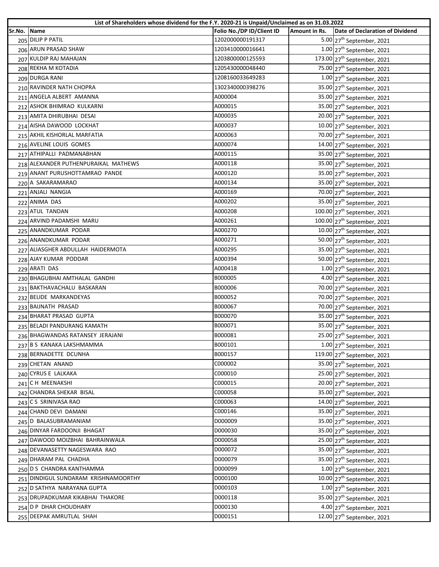|        | List of Shareholders whose dividend for the F.Y. 2020-21 is Unpaid/Unclaimed as on 31.03.2022 |                           |               |                                                     |  |  |
|--------|-----------------------------------------------------------------------------------------------|---------------------------|---------------|-----------------------------------------------------|--|--|
| Sr.No. | <b>Name</b>                                                                                   | Folio No./DP ID/Client ID | Amount in Rs. | Date of Declaration of Dividend                     |  |  |
|        | 205 DILIP P PATIL                                                                             | 1202000000191317          |               | 5.00 27 <sup>th</sup> September, 2021               |  |  |
|        | 206 ARUN PRASAD SHAW                                                                          | 1203410000016641          |               | $1.00$ 27 <sup>th</sup> September, 2021             |  |  |
|        | 207 KULDIP RAJ MAHAJAN                                                                        | 1203800000125593          |               | 173.00 27 <sup>th</sup> September, 2021             |  |  |
|        | 208 REKHA M KOTADIA                                                                           | 1205430000048440          |               | 75.00 27 <sup>th</sup> September, 2021              |  |  |
|        | 209 DURGA RANI                                                                                | 1208160033649283          |               | $1.00$ 27 <sup>th</sup> September, 2021             |  |  |
|        | 210 RAVINDER NATH CHOPRA                                                                      | 1302340000398276          |               | 35.00 27 <sup>th</sup> September, 2021              |  |  |
|        | 211 ANGELA ALBERT AMANNA                                                                      | A000004                   |               | 35.00 27 <sup>th</sup> September, 2021              |  |  |
|        | 212 ASHOK BHIMRAO KULKARNI                                                                    | A000015                   |               | 35.00 27 <sup>th</sup> September, 2021              |  |  |
|        | 213 AMITA DHIRUBHAI DESAI                                                                     | A000035                   |               | 20.00 27 <sup>th</sup> September, 2021              |  |  |
|        | 214 AISHA DAWOOD LOCKHAT                                                                      | A000037                   |               | 10.00 27 <sup>th</sup> September, 2021              |  |  |
|        | 215 AKHIL KISHORLAL MARFATIA                                                                  | A000063                   |               | 70.00 27 <sup>th</sup> September, 2021              |  |  |
|        | 216 AVELINE LOUIS GOMES                                                                       | A000074                   |               | 14.00 $27th$ September, 2021                        |  |  |
|        | 217 ATHIPALLI PADMANABHAN                                                                     | A000115                   |               | 35.00 27 <sup>th</sup> September, 2021              |  |  |
|        | 218 ALEXANDER PUTHENPURAIKAL MATHEWS                                                          | A000118                   |               | 35.00 27 <sup>th</sup> September, 2021              |  |  |
|        | 219 ANANT PURUSHOTTAMRAO PANDE                                                                | A000120                   |               | 35.00 27 <sup>th</sup> September, 2021              |  |  |
|        | 220 A SAKARAMARAO                                                                             | A000134                   |               | 35.00 27 <sup>th</sup> September, 2021              |  |  |
|        | 221 ANJALI NANGIA                                                                             | A000169                   |               | 70.00 27 <sup>th</sup> September, 2021              |  |  |
|        | 222 ANIMA DAS                                                                                 | A000202                   |               | 35.00 27 <sup>th</sup> September, 2021              |  |  |
|        | 223 ATUL TANDAN                                                                               | A000208                   |               | 100.00 27 <sup>th</sup> September, 2021             |  |  |
|        | 224 ARVIND PADAMSHI MARU                                                                      | A000261                   |               | 100.00 27 <sup>th</sup> September, 2021             |  |  |
|        | 225 ANANDKUMAR PODAR                                                                          | A000270                   |               | $10.00$ 27 <sup>th</sup> September, 2021            |  |  |
|        | 226 ANANDKUMAR PODAR                                                                          | A000271                   |               | 50.00 27 <sup>th</sup> September, 2021              |  |  |
|        | 227 ALIASGHER ABDULLAH HAIDERMOTA                                                             | A000295                   |               | 35.00 27 <sup>th</sup> September, 2021              |  |  |
|        | 228 AJAY KUMAR PODDAR                                                                         | A000394                   |               | 50.00 27 <sup>th</sup> September, 2021              |  |  |
|        | 229 ARATI DAS                                                                                 | A000418                   |               | $1.00$ 27 <sup>th</sup> September, 2021             |  |  |
|        | 230 BHAGUBHAI AMTHALAL GANDHI                                                                 | B000005                   |               | 4.00 $27th$ September, 2021                         |  |  |
|        | 231 BAKTHAVACHALU BASKARAN                                                                    | B000006                   |               | 70.00 27 <sup>th</sup> September, 2021              |  |  |
|        | 232 BELIDE MARKANDEYAS                                                                        | B000052                   |               | 70.00 27 <sup>th</sup> September, 2021              |  |  |
|        | 233 BAIJNATH PRASAD                                                                           | B000067                   |               | 70.00 27 <sup>th</sup> September, 2021              |  |  |
|        | 234 BHARAT PRASAD GUPTA                                                                       | B000070                   |               | 35.00 27 <sup>th</sup> September, 2021              |  |  |
|        | 235 BELADI PANDURANG KAMATH                                                                   | B000071                   |               | 35.00 27 <sup>th</sup> September, 2021              |  |  |
|        | 236 BHAGWANDAS RATANSEY JERAJANI                                                              | B000081                   |               | 25.00 27 <sup>th</sup> September, 2021              |  |  |
|        | 237 B S KANAKA LAKSHMAMMA                                                                     | B000101                   |               | $1.00$ 27 <sup>th</sup> September, 2021             |  |  |
|        | 238 BERNADETTE DCUNHA                                                                         | B000157                   |               | 119.00 27 <sup>th</sup> September, 2021             |  |  |
|        | 239 CHETAN ANAND                                                                              | C000002                   |               | 35.00 27 <sup>th</sup> September, 2021              |  |  |
|        | 240 CYRUS E LALKAKA                                                                           | C000010                   |               | 25.00 27 <sup>th</sup> September, 2021              |  |  |
|        | 241 CH MEENAKSHI                                                                              | C000015                   |               | 20.00 27 <sup>th</sup> September, 2021              |  |  |
|        | 242 CHANDRA SHEKAR BISAL                                                                      | C000058                   |               | 35.00 27 <sup>th</sup> September, 2021              |  |  |
|        | 243 CS SRINIVASA RAO                                                                          | C000063                   |               | 14.00 27 <sup>th</sup> September, 2021              |  |  |
|        | 244 CHAND DEVI DAMANI                                                                         | C000146                   |               | 35.00 27 <sup>th</sup> September, 2021              |  |  |
|        | 245 D BALASUBRAMANIAM                                                                         | D000009                   |               | 35.00 27 <sup>th</sup> September, 2021              |  |  |
|        | 246 DINYAR FARDOONJI BHAGAT                                                                   | D000030                   |               | $\overline{35.00}$ 27 <sup>th</sup> September, 2021 |  |  |
|        | 247 DAWOOD MOIZBHAI BAHRAINWALA                                                               | D000058                   |               | 25.00 27 <sup>th</sup> September, 2021              |  |  |
|        | 248 DEVANASETTY NAGESWARA RAO                                                                 | D000072                   |               | 35.00 27 <sup>th</sup> September, 2021              |  |  |
|        | 249 DHARAM PAL CHADHA                                                                         | D000079                   |               | 35.00 27 <sup>th</sup> September, 2021              |  |  |
|        | 250 D S CHANDRA KANTHAMMA                                                                     | D000099                   |               | $1.00$ 27 <sup>th</sup> September, 2021             |  |  |
|        | 251 DINDIGUL SUNDARAM KRISHNAMOORTHY                                                          | D000100                   |               | 10.00 27 <sup>th</sup> September, 2021              |  |  |
|        | 252 D SATHYA NARAYANA GUPTA                                                                   | D000103                   |               | $1.00$ 27 <sup>th</sup> September, 2021             |  |  |
|        | 253 DRUPADKUMAR KIKABHAI THAKORE                                                              | D000118                   |               | 35.00 27 <sup>th</sup> September, 2021              |  |  |
|        | 254 D P DHAR CHOUDHARY                                                                        | D000130                   |               | $4.00$ 27 <sup>th</sup> September, 2021             |  |  |
|        | 255 DEEPAK AMRUTLAL SHAH                                                                      | D000151                   |               | 12.00 $27th$ September, 2021                        |  |  |
|        |                                                                                               |                           |               |                                                     |  |  |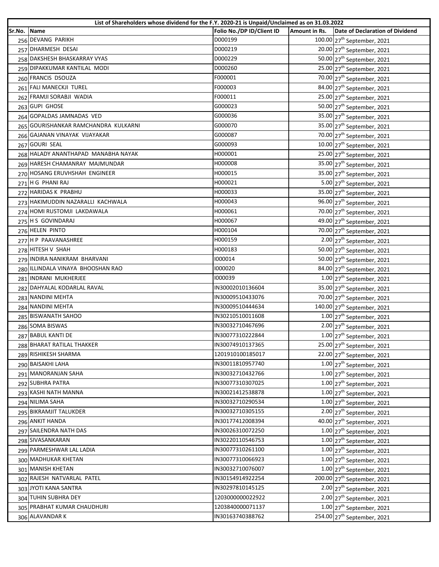|        | List of Shareholders whose dividend for the F.Y. 2020-21 is Unpaid/Unclaimed as on 31.03.2022 |                           |               |                                          |  |  |
|--------|-----------------------------------------------------------------------------------------------|---------------------------|---------------|------------------------------------------|--|--|
| Sr.No. | <b>Name</b>                                                                                   | Folio No./DP ID/Client ID | Amount in Rs. | Date of Declaration of Dividend          |  |  |
|        | 256 DEVANG PARIKH                                                                             | D000199                   |               | 100.00 27 <sup>th</sup> September, 2021  |  |  |
|        | 257 DHARMESH DESAI                                                                            | D000219                   |               | 20.00 27 <sup>th</sup> September, 2021   |  |  |
|        | 258 DAKSHESH BHASKARRAY VYAS                                                                  | D000229                   |               | 50.00 27 <sup>th</sup> September, 2021   |  |  |
|        | 259 DIPAKKUMAR KANTILAL MODI                                                                  | D000260                   |               | 25.00 27 <sup>th</sup> September, 2021   |  |  |
|        | 260 FRANCIS DSOUZA                                                                            | F000001                   |               | 70.00 27 <sup>th</sup> September, 2021   |  |  |
|        | 261 FALI MANECKJI TUREL                                                                       | F000003                   |               | 84.00 27 <sup>th</sup> September, 2021   |  |  |
|        | 262 FRAMJI SORABJI WADIA                                                                      | F000011                   |               | 25.00 27 <sup>th</sup> September, 2021   |  |  |
|        | 263 GUPI GHOSE                                                                                | G000023                   |               | 50.00 27 <sup>th</sup> September, 2021   |  |  |
|        | 264 GOPALDAS JAMNADAS VED                                                                     | G000036                   |               | 35.00 27 <sup>th</sup> September, 2021   |  |  |
|        | 265 GOURISHANKAR RAMCHANDRA KULKARNI                                                          | G000070                   |               | 35.00 27 <sup>th</sup> September, 2021   |  |  |
|        | 266 GAJANAN VINAYAK VIJAYAKAR                                                                 | G000087                   |               | 70.00 27 <sup>th</sup> September, 2021   |  |  |
|        | 267 GOURI SEAL                                                                                | G000093                   |               | $10.00$ 27 <sup>th</sup> September, 2021 |  |  |
|        | 268 HALADY ANANTHAPAD MANABHA NAYAK                                                           | H000001                   |               | 25.00 27 <sup>th</sup> September, 2021   |  |  |
|        | 269 HARESH CHAMANRAY MAJMUNDAR                                                                | H000008                   |               | 35.00 27 <sup>th</sup> September, 2021   |  |  |
|        | 270 HOSANG ERUVHSHAH ENGINEER                                                                 | H000015                   |               | 35.00 27 <sup>th</sup> September, 2021   |  |  |
|        | 271 H G PHANI RAJ                                                                             | H000021                   |               | 5.00 27 <sup>th</sup> September, 2021    |  |  |
|        | 272 HARIDAS K PRABHU                                                                          | H000033                   |               | 35.00 27 <sup>th</sup> September, 2021   |  |  |
|        | 273 HAKIMUDDIN NAZARALLI KACHWALA                                                             | H000043                   |               | 96.00 27 <sup>th</sup> September, 2021   |  |  |
|        | 274 HOMI RUSTOMJI LAKDAWALA                                                                   | H000061                   |               | 70.00 27 <sup>th</sup> September, 2021   |  |  |
|        | 275 H S GOVINDARAJ                                                                            | H000067                   |               | 49.00 27 <sup>th</sup> September, 2021   |  |  |
|        | 276 HELEN PINTO                                                                               | H000104                   |               | 70.00 27 <sup>th</sup> September, 2021   |  |  |
|        | 277 H P PAAVANASHREE                                                                          | H000159                   |               | $2.00$ 27 <sup>th</sup> September, 2021  |  |  |
|        | 278 HITESH V SHAH                                                                             | H000183                   |               | 50.00 27 <sup>th</sup> September, 2021   |  |  |
|        | 279 INDIRA NANIKRAM BHARVANI                                                                  | 1000014                   |               | 50.00 27 <sup>th</sup> September, 2021   |  |  |
|        | 280 ILLINDALA VINAYA BHOOSHAN RAO                                                             | 1000020                   |               | 84.00 27 <sup>th</sup> September, 2021   |  |  |
|        | 281 INDRANI MUKHERJEE                                                                         | 1000039                   |               | $1.00$ 27 <sup>th</sup> September, 2021  |  |  |
|        | 282 DAHYALAL KODARLAL RAVAL                                                                   | IN30002010136604          |               | 35.00 27 <sup>th</sup> September, 2021   |  |  |
|        | 283 NANDINI MEHTA                                                                             | IN30009510433076          |               | 70.00 27 <sup>th</sup> September, 2021   |  |  |
|        | 284 NANDINI MEHTA                                                                             | IN30009510444634          |               | 140.00 27 <sup>th</sup> September, 2021  |  |  |
|        | 285 BISWANATH SAHOO                                                                           | IN30210510011608          |               | $1.00$ 27 <sup>th</sup> September, 2021  |  |  |
|        | 286 SOMA BISWAS                                                                               | IN30032710467696          |               | $2.00$ 27 <sup>th</sup> September, 2021  |  |  |
|        | 287 BABUL KANTI DE                                                                            | IN30077310222844          |               | $1.00$ 27 <sup>th</sup> September, 2021  |  |  |
|        | 288 BHARAT RATILAL THAKKER                                                                    | IN30074910137365          |               | 25.00 27 <sup>th</sup> September, 2021   |  |  |
|        | 289 RISHIKESH SHARMA                                                                          | 1201910100185017          |               | 22.00 27 <sup>th</sup> September, 2021   |  |  |
|        | 290 BAISAKHI LAHA                                                                             | IN30011810957740          |               | $1.00$ 27 <sup>th</sup> September, 2021  |  |  |
|        | 291 MANORANJAN SAHA                                                                           | IN30032710432766          |               | $1.00$ 27 <sup>th</sup> September, 2021  |  |  |
|        | 292 SUBHRA PATRA                                                                              | IN30077310307025          |               | $1.00$ 27 <sup>th</sup> September, 2021  |  |  |
|        | 293 KASHI NATH MANNA                                                                          | IN30021412538878          |               | $1.00$ 27 <sup>th</sup> September, 2021  |  |  |
|        | 294 NILIMA SAHA                                                                               | IN30032710290534          |               | $1.00$ 27 <sup>th</sup> September, 2021  |  |  |
|        | 295 BIKRAMJIT TALUKDER                                                                        | IN30032710305155          |               | 2.00 27 <sup>th</sup> September, 2021    |  |  |
|        | 296 ANKIT HANDA                                                                               | IN30177412008394          |               | 40.00 27 <sup>th</sup> September, 2021   |  |  |
|        | 297 SAILENDRA NATH DAS                                                                        | IN30026310072250          |               | $1.00$ 27 <sup>th</sup> September, 2021  |  |  |
|        | 298 SIVASANKARAN                                                                              | IN30220110546753          |               | $1.00$ 27 <sup>th</sup> September, 2021  |  |  |
|        | 299 PARMESHWAR LAL LADIA                                                                      | IN30077310261100          |               | $1.00$ 27 <sup>th</sup> September, 2021  |  |  |
|        | 300 MADHUKAR KHETAN                                                                           | IN30077310066923          |               | $1.00$ 27 <sup>th</sup> September, 2021  |  |  |
|        | 301 MANISH KHETAN                                                                             | IN30032710076007          |               |                                          |  |  |
|        | 302 RAJESH NATVARLAL PATEL                                                                    | IN30154914922254          |               | $1.00$ 27 <sup>th</sup> September, 2021  |  |  |
|        | 303 JYOTI KANA SANTRA                                                                         | IN30297810145125          |               | 200.00 27 <sup>th</sup> September, 2021  |  |  |
|        |                                                                                               |                           |               | $2.00$ 27 <sup>th</sup> September, 2021  |  |  |
|        | 304 TUHIN SUBHRA DEY                                                                          | 1203000000022922          |               | $2.00$ 27 <sup>th</sup> September, 2021  |  |  |
|        | 305 PRABHAT KUMAR CHAUDHURI                                                                   | 1203840000071137          |               | $1.00$ 27 <sup>th</sup> September, 2021  |  |  |
|        | 306 ALAVANDAR K                                                                               | IN30163740388762          |               | 254.00 27 <sup>th</sup> September, 2021  |  |  |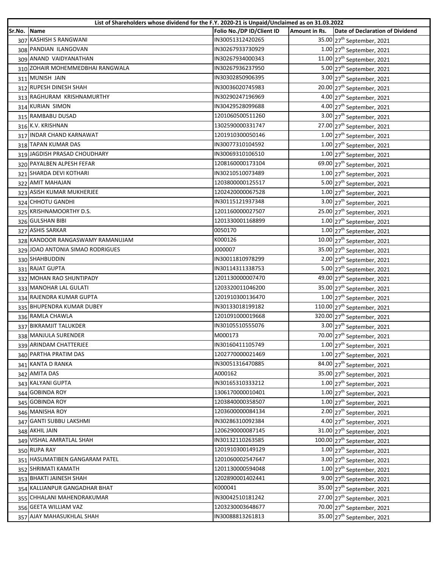|        | List of Shareholders whose dividend for the F.Y. 2020-21 is Unpaid/Unclaimed as on 31.03.2022 |                           |               |                                          |
|--------|-----------------------------------------------------------------------------------------------|---------------------------|---------------|------------------------------------------|
| Sr.No. | Name                                                                                          | Folio No./DP ID/Client ID | Amount in Rs. | Date of Declaration of Dividend          |
|        | 307 KASHISH S RANGWANI                                                                        | IN30051312420265          |               | 35.00 27 <sup>th</sup> September, 2021   |
|        | 308 PANDIAN ILANGOVAN                                                                         | IN30267933730929          |               | $1.00$ 27 <sup>th</sup> September, 2021  |
|        | 309 ANAND VAIDYANATHAN                                                                        | IN30267934000343          |               | 11.00 $27th$ September, 2021             |
|        | 310 ZOHAIR MOHEMMEDBHAI RANGWALA                                                              | IN30267936237950          |               | 5.00 27 <sup>th</sup> September, 2021    |
|        | 311 MUNISH JAIN                                                                               | IN30302850906395          |               | 3.00 27 <sup>th</sup> September, 2021    |
|        | 312 RUPESH DINESH SHAH                                                                        | IN30036020745983          |               | 20.00 27 <sup>th</sup> September, 2021   |
|        | 313 RAGHURAM KRISHNAMURTHY                                                                    | IN30290247196969          |               | 4.00 27 <sup>th</sup> September, 2021    |
|        | 314 KURIAN SIMON                                                                              | IN30429528099688          |               | $4.00$ 27 <sup>th</sup> September, 2021  |
|        | 315 RAMBABU DUSAD                                                                             | 1201060500511260          |               | $3.00$ 27 <sup>th</sup> September, 2021  |
|        | 316 K.V. KRISHNAN                                                                             | 1302590000331747          |               | 27.00 27 <sup>th</sup> September, 2021   |
|        | 317 INDAR CHAND KARNAWAT                                                                      | 1201910300050146          |               | $1.00$ 27 <sup>th</sup> September, 2021  |
|        | 318 TAPAN KUMAR DAS                                                                           | IN30077310104592          |               | $1.00$ 27 <sup>th</sup> September, 2021  |
|        | 319 JAGDISH PRASAD CHOUDHARY                                                                  | IN30069310106510          |               | $1.00$ 27 <sup>th</sup> September, 2021  |
|        | 320 PAYALBEN ALPESH FEFAR                                                                     | 1208160000173104          |               | 69.00 27 <sup>th</sup> September, 2021   |
|        | 321 SHARDA DEVI KOTHARI                                                                       | IN30210510073489          |               | $1.00$ 27 <sup>th</sup> September, 2021  |
|        | 322 AMIT MAHAJAN                                                                              | 1203800000125517          |               | 5.00 27 <sup>th</sup> September, 2021    |
|        | 323 ASISH KUMAR MUKHERJEE                                                                     | 1202420000067528          |               | $1.00$ 27 <sup>th</sup> September, 2021  |
|        | 324 CHHOTU GANDHI                                                                             | IN30115121937348          |               | 3.00 27 <sup>th</sup> September, 2021    |
|        | 325 KRISHNAMOORTHY D.S.                                                                       | 1201160000027507          |               | 25.00 27 <sup>th</sup> September, 2021   |
|        | 326 GULSHAN BIBI                                                                              | 1201330001168899          |               | $1.00$ 27 <sup>th</sup> September, 2021  |
|        | 327 ASHIS SARKAR                                                                              | 0050170                   |               | $1.00$ 27 <sup>th</sup> September, 2021  |
|        | 328 KANDOOR RANGASWAMY RAMANUJAM                                                              | K000126                   |               | $10.00$ 27 <sup>th</sup> September, 2021 |
|        | 329 JOAO ANTONIA SIMAO RODRIGUES                                                              | 000007/                   |               | 35.00 27 <sup>th</sup> September, 2021   |
|        | 330 SHAHBUDDIN                                                                                | IN30011810978299          |               | $2.00$ 27 <sup>th</sup> September, 2021  |
|        | 331 RAJAT GUPTA                                                                               | IN30114311338753          |               | 5.00 27 <sup>th</sup> September, 2021    |
|        | 332 MOHAN RAO SHUNTIPADY                                                                      | 1201130000007470          |               | 49.00 27 <sup>th</sup> September, 2021   |
|        | 333 MANOHAR LAL GULATI                                                                        | 1203320011046200          |               | 35.00 27 <sup>th</sup> September, 2021   |
|        | 334 RAJENDRA KUMAR GUPTA                                                                      | 1201910300136470          |               | $1.00$ 27 <sup>th</sup> September, 2021  |
|        | 335 BHUPENDRA KUMAR DUBEY                                                                     | IN30133018199182          |               | 110.00 27 <sup>th</sup> September, 2021  |
|        | 336 RAMLA CHAWLA                                                                              | 1201091000019668          |               | 320.00 27 <sup>th</sup> September, 2021  |
|        | 337 BIKRAMJIT TALUKDER                                                                        | IN30105510555076          |               | 3.00 27 <sup>th</sup> September, 2021    |
|        | 338 MANJULA SURENDER                                                                          | M000173                   |               | 70.00 27 <sup>th</sup> September, 2021   |
|        | 339 ARINDAM CHATTERJEE                                                                        | IN30160411105749          |               | $1.00$ 27 <sup>th</sup> September, 2021  |
|        | 340 PARTHA PRATIM DAS                                                                         | 1202770000021469          |               | $1.00$ 27 <sup>th</sup> September, 2021  |
|        | 341 KANTA D RANKA                                                                             | IN30051316470885          |               | 84.00 27 <sup>th</sup> September, 2021   |
|        | 342 AMITA DAS                                                                                 | A000162                   |               | 35.00 27 <sup>th</sup> September, 2021   |
|        | 343 KALYANI GUPTA                                                                             | IN30165310333212          |               | $1.00$ 27 <sup>th</sup> September, 2021  |
|        | 344 GOBINDA ROY                                                                               | 1306170000010401          |               | $1.00$ 27 <sup>th</sup> September, 2021  |
|        | 345 GOBINDA ROY                                                                               | 1203840000358507          |               | $1.00$ 27 <sup>th</sup> September, 2021  |
|        | 346 MANISHA ROY                                                                               | 1203600000084134          |               | $2.00$ 27 <sup>th</sup> September, 2021  |
|        | 347 GANTI SUBBU LAKSHMI                                                                       | IN30286310092384          |               | $4.00$ 27 <sup>th</sup> September, 2021  |
|        | 348 AKHIL JAIN                                                                                | 1206290000087145          |               | 31.00 27 <sup>th</sup> September, 2021   |
|        | 349 VISHAL AMRATLAL SHAH                                                                      | IN30132110263585          |               | 100.00 $27^{th}$ September, 2021         |
|        | 350 RUPA RAY                                                                                  | 1201910300149129          |               | $1.00$ 27 <sup>th</sup> September, 2021  |
|        | 351 HASUMATIBEN GANGARAM PATEL                                                                | 1201060002547647          |               | 3.00 27 <sup>th</sup> September, 2021    |
|        | 352 SHRIMATI KAMATH                                                                           | 1201130000594048          |               | $1.00$ 27 <sup>th</sup> September, 2021  |
|        | 353 BHAKTI JAINESH SHAH                                                                       | 1202890001402441          |               | 9.00 27 <sup>th</sup> September, 2021    |
|        | 354 KALLIANPUR GANGADHAR BHAT                                                                 | K000041                   |               | 35.00 27 <sup>th</sup> September, 2021   |
|        | 355 CHHALANI MAHENDRAKUMAR                                                                    | IN30042510181242          |               | 27.00 27 <sup>th</sup> September, 2021   |
|        | 356 GEETA WILLIAM VAZ                                                                         | 1203230003648677          |               | 70.00 27 <sup>th</sup> September, 2021   |
|        | 357 AJAY MAHASUKHLAL SHAH                                                                     | IN30088813261813          |               | 35.00 27 <sup>th</sup> September, 2021   |
|        |                                                                                               |                           |               |                                          |